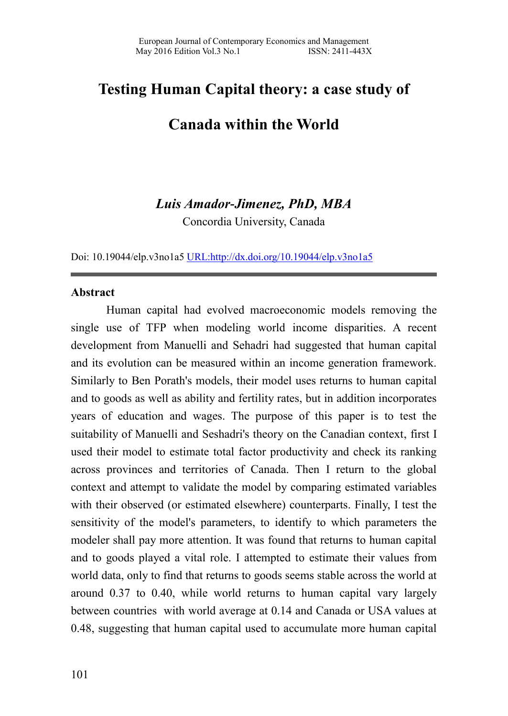# **Testing Human Capital theory: a case study of**

# **Canada within the World**

# *Luis Amador-Jimenez, PhD, MBA*

Concordia University, Canada

Doi: 10.19044/elp.v3no1a5 [URL:http://dx.doi.org/10.19044/elp.v3no1a5](http://dx.doi.org/10.19044/elp.v3no1a5)

#### **Abstract**

Human capital had evolved macroeconomic models removing the single use of TFP when modeling world income disparities. A recent development from Manuelli and Sehadri had suggested that human capital and its evolution can be measured within an income generation framework. Similarly to Ben Porath's models, their model uses returns to human capital and to goods as well as ability and fertility rates, but in addition incorporates years of education and wages. The purpose of this paper is to test the suitability of Manuelli and Seshadri's theory on the Canadian context, first I used their model to estimate total factor productivity and check its ranking across provinces and territories of Canada. Then I return to the global context and attempt to validate the model by comparing estimated variables with their observed (or estimated elsewhere) counterparts. Finally, I test the sensitivity of the model's parameters, to identify to which parameters the modeler shall pay more attention. It was found that returns to human capital and to goods played a vital role. I attempted to estimate their values from world data, only to find that returns to goods seems stable across the world at around 0.37 to 0.40, while world returns to human capital vary largely between countries with world average at 0.14 and Canada or USA values at 0.48, suggesting that human capital used to accumulate more human capital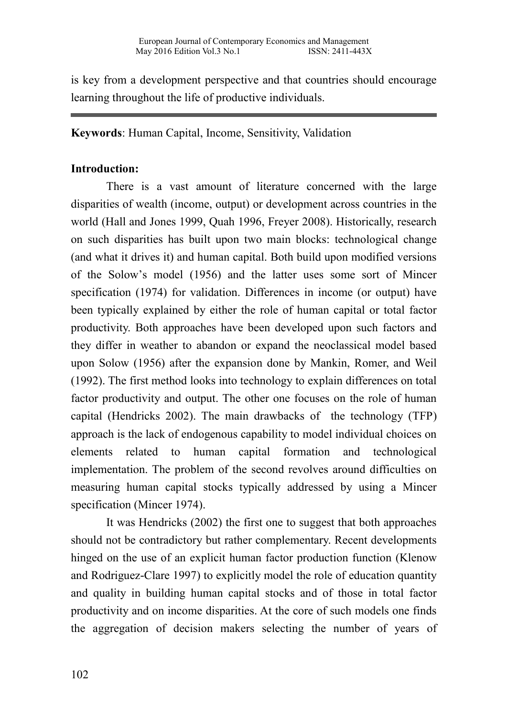is key from a development perspective and that countries should encourage learning throughout the life of productive individuals.

# **Keywords**: Human Capital, Income, Sensitivity, Validation

# **Introduction:**

There is a vast amount of literature concerned with the large disparities of wealth (income, output) or development across countries in the world (Hall and Jones 1999, Quah 1996, Freyer 2008). Historically, research on such disparities has built upon two main blocks: technological change (and what it drives it) and human capital. Both build upon modified versions of the Solow's model (1956) and the latter uses some sort of Mincer specification (1974) for validation. Differences in income (or output) have been typically explained by either the role of human capital or total factor productivity. Both approaches have been developed upon such factors and they differ in weather to abandon or expand the neoclassical model based upon Solow (1956) after the expansion done by Mankin, Romer, and Weil (1992). The first method looks into technology to explain differences on total factor productivity and output. The other one focuses on the role of human capital (Hendricks 2002). The main drawbacks of the technology (TFP) approach is the lack of endogenous capability to model individual choices on elements related to human capital formation and technological implementation. The problem of the second revolves around difficulties on measuring human capital stocks typically addressed by using a Mincer specification (Mincer 1974).

It was Hendricks (2002) the first one to suggest that both approaches should not be contradictory but rather complementary. Recent developments hinged on the use of an explicit human factor production function (Klenow and Rodriguez-Clare 1997) to explicitly model the role of education quantity and quality in building human capital stocks and of those in total factor productivity and on income disparities. At the core of such models one finds the aggregation of decision makers selecting the number of years of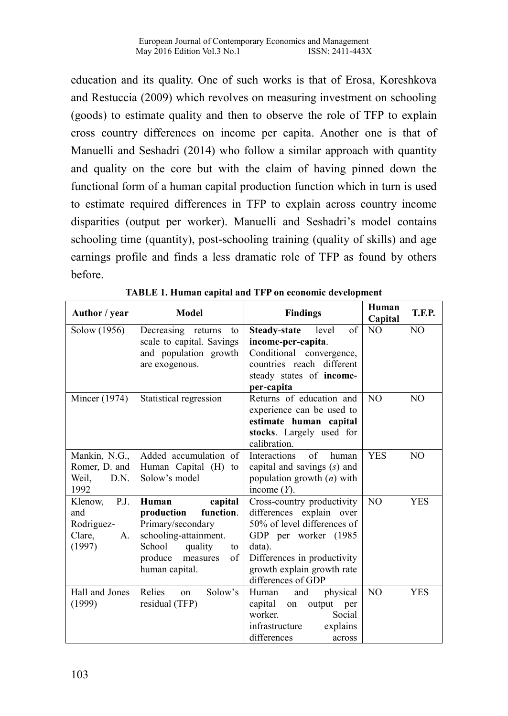education and its quality. One of such works is that of Erosa, Koreshkova and Restuccia (2009) which revolves on measuring investment on schooling (goods) to estimate quality and then to observe the role of TFP to explain cross country differences on income per capita. Another one is that of Manuelli and Seshadri (2014) who follow a similar approach with quantity and quality on the core but with the claim of having pinned down the functional form of a human capital production function which in turn is used to estimate required differences in TFP to explain across country income disparities (output per worker). Manuelli and Seshadri's model contains schooling time (quantity), post-schooling training (quality of skills) and age earnings profile and finds a less dramatic role of TFP as found by others before.

| Author / year   | <b>Model</b>              | <b>Findings</b>                    | Human<br>Capital | T.F.P.         |
|-----------------|---------------------------|------------------------------------|------------------|----------------|
| Solow (1956)    | Decreasing returns<br>to  | of<br><b>Steady-state</b><br>level | N <sub>O</sub>   | N <sub>O</sub> |
|                 | scale to capital. Savings | income-per-capita.                 |                  |                |
|                 | and population growth     | Conditional convergence,           |                  |                |
|                 | are exogenous.            | countries reach different          |                  |                |
|                 |                           | steady states of income-           |                  |                |
|                 |                           | per-capita                         |                  |                |
| Mincer (1974)   | Statistical regression    | Returns of education and           | N <sub>O</sub>   | N <sub>O</sub> |
|                 |                           | experience can be used to          |                  |                |
|                 |                           | estimate human capital             |                  |                |
|                 |                           | stocks. Largely used for           |                  |                |
|                 |                           | calibration.                       |                  |                |
| Mankin, N.G.,   | Added accumulation of     | <b>Interactions</b><br>of<br>human | <b>YES</b>       | NO.            |
| Romer, D. and   | Human Capital (H) to      | capital and savings $(s)$ and      |                  |                |
| Weil,<br>D.N.   | Solow's model             | population growth $(n)$ with       |                  |                |
| 1992            |                           | income $(Y)$ .                     |                  |                |
| P.J.<br>Klenow, | capital<br>Human          | Cross-country productivity         | N <sub>O</sub>   | <b>YES</b>     |
| and             | function.<br>production   | differences explain over           |                  |                |
| Rodriguez-      | Primary/secondary         | 50% of level differences of        |                  |                |
| Clare,<br>A.    | schooling-attainment.     | GDP per worker (1985               |                  |                |
| (1997)          | School<br>quality<br>to   | data).                             |                  |                |
|                 | produce<br>of<br>measures | Differences in productivity        |                  |                |
|                 | human capital.            | growth explain growth rate         |                  |                |
|                 |                           | differences of GDP                 |                  |                |
| Hall and Jones  | Relies<br>Solow's<br>on   | physical<br>Human<br>and           | N <sub>O</sub>   | <b>YES</b>     |
| (1999)          | residual (TFP)            | capital<br>output per<br>on        |                  |                |
|                 |                           | worker.<br>Social                  |                  |                |
|                 |                           | infrastructure<br>explains         |                  |                |
|                 |                           | differences<br>across              |                  |                |

**TABLE 1. Human capital and TFP on economic development**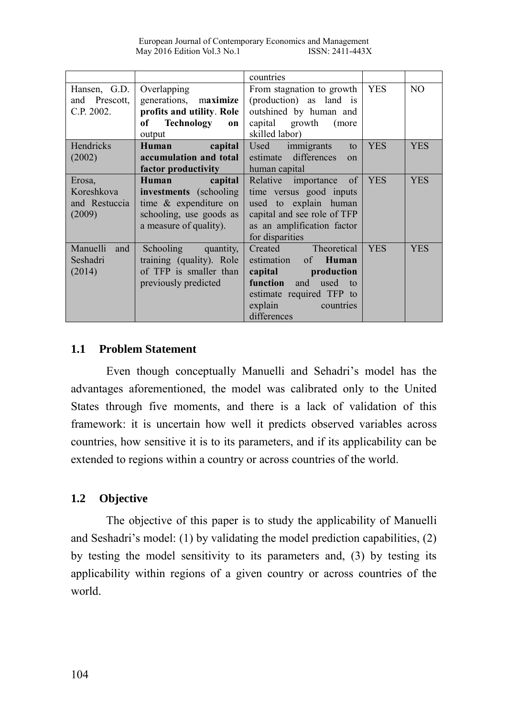|                                                 |                                                                                                                                  | countries                                                                                                                                                                    |            |            |
|-------------------------------------------------|----------------------------------------------------------------------------------------------------------------------------------|------------------------------------------------------------------------------------------------------------------------------------------------------------------------------|------------|------------|
| Hansen, G.D.<br>and Prescott,<br>C.P. 2002.     | Overlapping<br>generations, maximize<br>profits and utility. Role<br>Technology<br>оf<br>on<br>output                            | From stagnation to growth<br>(production) as land is<br>outshined by human and<br>capital growth (more<br>skilled labor)                                                     | <b>YES</b> | NO.        |
| <b>Hendricks</b><br>(2002)                      | capital<br>Human<br>accumulation and total<br>factor productivity                                                                | Used immigrants<br>to<br>estimate differences<br>$\Omega$<br>human capital                                                                                                   | <b>YES</b> | <b>YES</b> |
| Erosa,<br>Koreshkova<br>and Restuccia<br>(2009) | capital<br>Human<br><b>investments</b> (schooling)<br>time & expenditure on<br>schooling, use goods as<br>a measure of quality). | Relative importance of<br>time versus good inputs<br>used to explain human<br>capital and see role of TFP<br>as an amplification factor<br>for disparities                   | <b>YES</b> | <b>YES</b> |
| Manuelli and<br>Seshadri<br>(2014)              | Schooling quantity,<br>training (quality). Role<br>of TFP is smaller than<br>previously predicted                                | Theoretical<br>Created<br>estimation of <b>Human</b><br>capital production<br><b>function</b> and used to<br>estimate required TFP to<br>explain<br>countries<br>differences | <b>YES</b> | <b>YES</b> |

#### **1.1 Problem Statement**

Even though conceptually Manuelli and Sehadri's model has the advantages aforementioned, the model was calibrated only to the United States through five moments, and there is a lack of validation of this framework: it is uncertain how well it predicts observed variables across countries, how sensitive it is to its parameters, and if its applicability can be extended to regions within a country or across countries of the world.

#### **1.2 Objective**

The objective of this paper is to study the applicability of Manuelli and Seshadri's model: (1) by validating the model prediction capabilities, (2) by testing the model sensitivity to its parameters and, (3) by testing its applicability within regions of a given country or across countries of the world.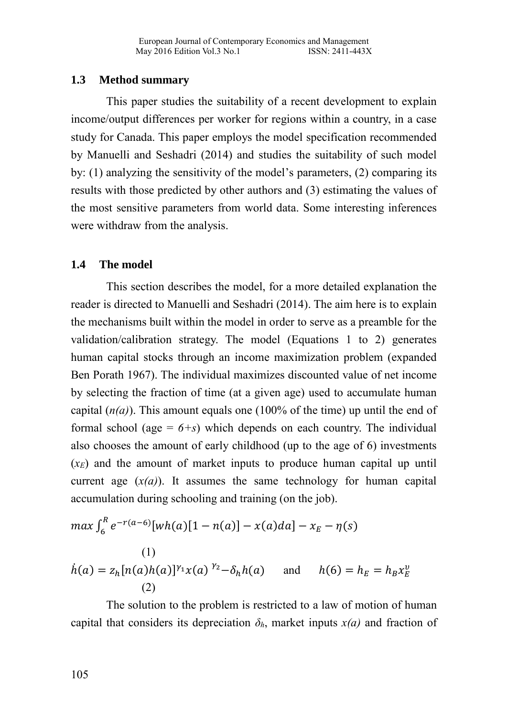## **1.3 Method summary**

This paper studies the suitability of a recent development to explain income/output differences per worker for regions within a country, in a case study for Canada. This paper employs the model specification recommended by Manuelli and Seshadri (2014) and studies the suitability of such model by: (1) analyzing the sensitivity of the model's parameters, (2) comparing its results with those predicted by other authors and (3) estimating the values of the most sensitive parameters from world data. Some interesting inferences were withdraw from the analysis.

### **1.4 The model**

This section describes the model, for a more detailed explanation the reader is directed to Manuelli and Seshadri (2014). The aim here is to explain the mechanisms built within the model in order to serve as a preamble for the validation/calibration strategy. The model (Equations 1 to 2) generates human capital stocks through an income maximization problem (expanded Ben Porath 1967). The individual maximizes discounted value of net income by selecting the fraction of time (at a given age) used to accumulate human capital  $(n(a))$ . This amount equals one (100% of the time) up until the end of formal school (age  $= 6+s$ ) which depends on each country. The individual also chooses the amount of early childhood (up to the age of 6) investments (*xE*) and the amount of market inputs to produce human capital up until current age  $(x(a))$ . It assumes the same technology for human capital accumulation during schooling and training (on the job).

$$
\max \int_{6}^{R} e^{-r(a-6)}[wh(a)[1 - n(a)] - x(a)da] - x_E - \eta(s)
$$
  
(1)  

$$
\dot{h}(a) = z_h[n(a)h(a)]^{\gamma_1}x(a)^{\gamma_2} - \delta_h h(a) \quad \text{and} \quad h(6) = h_E = h_B x_E^v
$$
  
(2)

The solution to the problem is restricted to a law of motion of human capital that considers its depreciation  $\delta_h$ , market inputs  $x(a)$  and fraction of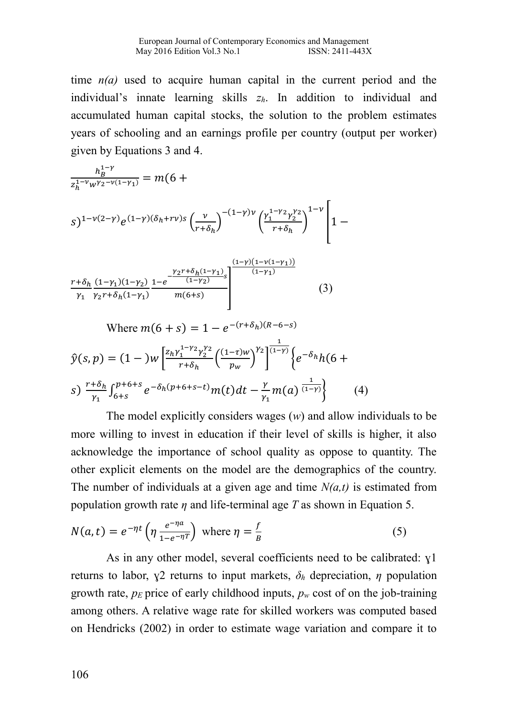time  $n(a)$  used to acquire human capital in the current period and the individual's innate learning skills *zh*. In addition to individual and accumulated human capital stocks, the solution to the problem estimates years of schooling and an earnings profile per country (output per worker) given by Equations 3 and 4.

$$
\frac{h_B^{1-\gamma}}{z_h^{1-\nu}w^{\gamma_2-\nu(1-\gamma_1)}} = m(6 + \sum_{\substack{n=1 \\ r+\delta_h}} \frac{1}{2} \int e^{(1-\gamma)(\delta_h + r\nu)s} \left(\frac{v}{r+\delta_h}\right)^{-(1-\gamma)\nu} \left(\frac{\gamma_1^{1-\gamma_2}\gamma_2^{\gamma_2}}{r+\delta_h}\right)^{1-\nu} \left[1 - \frac{1}{2} \int e^{-(1-\gamma)(\delta_h + r\nu)s} \left(\frac{1}{2} \int e^{-(1-\gamma)(1-\gamma_1)} e^{-(1-\gamma)(1-\gamma_1)} \frac{(-\gamma)(1-\gamma_1)}{(\gamma_1-\gamma_1)} \frac{(\gamma_1^{1-\gamma_2})}{\gamma_1 \gamma_2 r+\delta_h (1-\gamma_1)}\right)^{1-\nu} \frac{(\gamma_1^{1-\gamma})(1-\gamma_2)}{m(6+s)} \right]
$$

Where 
$$
m(6 + s) = 1 - e^{-(r+\delta_h)(R-6-s)}
$$
  
\n
$$
\hat{y}(s, p) = (1 - )w \left[ \frac{z_h \gamma_1^{1-\gamma_2} \gamma_2^{\gamma_2}}{r+\delta_h} \left( \frac{(1-\tau)w}{p_w} \right)^{\gamma_2} \right]^{1/(\gamma_1 - \gamma)} \left\{ e^{-\delta_h} h(6 + s) \right\}
$$
\n
$$
s) \frac{r+\delta_h}{\gamma_1} \int_{6+s}^{p+6+s} e^{-\delta_h(p+6+s-t)} m(t) dt - \frac{\gamma}{\gamma_1} m(a) \frac{1}{(1-\gamma)} \right\} \qquad (4)
$$

The model explicitly considers wages (*w*) and allow individuals to be more willing to invest in education if their level of skills is higher, it also acknowledge the importance of school quality as oppose to quantity. The other explicit elements on the model are the demographics of the country. The number of individuals at a given age and time *N(a,t)* is estimated from population growth rate *η* and life-terminal age *T* as shown in Equation 5.

$$
N(a,t) = e^{-\eta t} \left( \eta \frac{e^{-\eta a}}{1 - e^{-\eta T}} \right) \text{ where } \eta = \frac{f}{B}
$$
 (5)

As in any other model, several coefficients need to be calibrated: ɣ1 returns to labor,  $\chi$ 2 returns to input markets,  $\delta_h$  depreciation, *η* population growth rate,  $p_E$  price of early childhood inputs,  $p_w$  cost of on the job-training among others. A relative wage rate for skilled workers was computed based on Hendricks (2002) in order to estimate wage variation and compare it to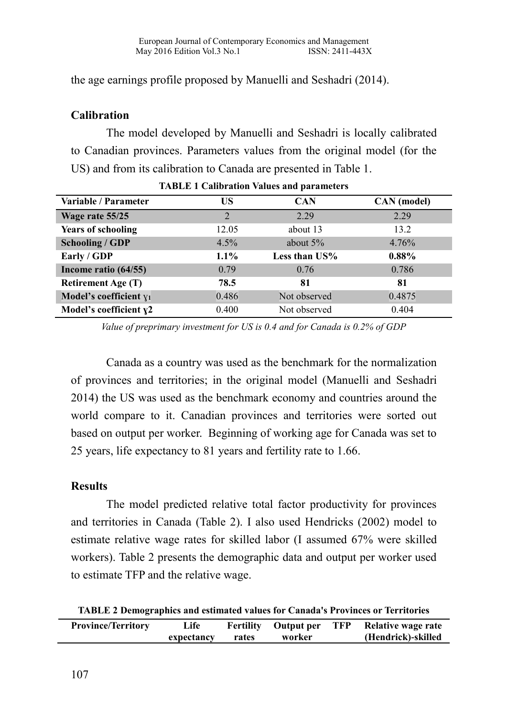the age earnings profile proposed by Manuelli and Seshadri (2014).

## **Calibration**

The model developed by Manuelli and Seshadri is locally calibrated to Canadian provinces. Parameters values from the original model (for the US) and from its calibration to Canada are presented in Table 1.

| Variable / Parameter      | US      | <b>CAN</b>       | CAN (model) |
|---------------------------|---------|------------------|-------------|
| Wage rate 55/25           | 2       | 2.29             | 2.29        |
| <b>Years of schooling</b> | 12.05   | about 13         | 13.2        |
| <b>Schooling / GDP</b>    | 4.5%    | about $5\%$      | 4.76%       |
| Early / GDP               | $1.1\%$ | Less than $US\%$ | $0.88\%$    |
| Income ratio (64/55)      | 0.79    | 0.76             | 0.786       |
| <b>Retirement Age (T)</b> | 78.5    | 81               | 81          |
| Model's coefficient $y_1$ | 0.486   | Not observed     | 0.4875      |
| Model's coefficient $y2$  | 0.400   | Not observed     | 0.404       |

*Value of preprimary investment for US is 0.4 and for Canada is 0.2% of GDP*

Canada as a country was used as the benchmark for the normalization of provinces and territories; in the original model (Manuelli and Seshadri 2014) the US was used as the benchmark economy and countries around the world compare to it. Canadian provinces and territories were sorted out based on output per worker. Beginning of working age for Canada was set to 25 years, life expectancy to 81 years and fertility rate to 1.66.

#### **Results**

The model predicted relative total factor productivity for provinces and territories in Canada (Table 2). I also used Hendricks (2002) model to estimate relative wage rates for skilled labor (I assumed 67% were skilled workers). Table 2 presents the demographic data and output per worker used to estimate TFP and the relative wage.

**TABLE 2 Demographics and estimated values for Canada's Provinces or Territories**

| <b>Province/Territory</b> | Life       | Fertility | Output per TFP | Relative wage rate |
|---------------------------|------------|-----------|----------------|--------------------|
|                           | expectancy | rates     | worker         | (Hendrick)-skilled |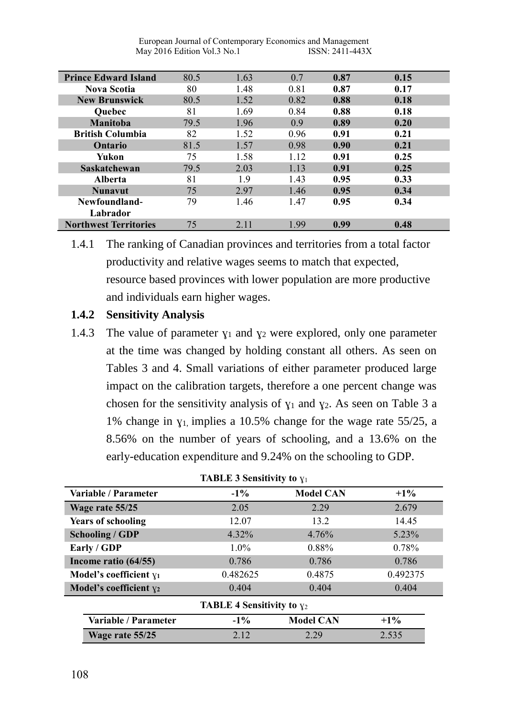| <b>Prince Edward Island</b>  | 80.5 | 1.63 | 0.7  | 0.87 | 0.15 |
|------------------------------|------|------|------|------|------|
| <b>Nova Scotia</b>           | 80   | 1.48 | 0.81 | 0.87 | 0.17 |
| <b>New Brunswick</b>         | 80.5 | 1.52 | 0.82 | 0.88 | 0.18 |
| <b>Ouebec</b>                | 81   | 1.69 | 0.84 | 0.88 | 0.18 |
| <b>Manitoba</b>              | 79.5 | 1.96 | 0.9  | 0.89 | 0.20 |
| <b>British Columbia</b>      | 82   | 1.52 | 0.96 | 0.91 | 0.21 |
| Ontario                      | 81.5 | 1.57 | 0.98 | 0.90 | 0.21 |
| Yukon                        | 75   | 1.58 | 1.12 | 0.91 | 0.25 |
| Saskatchewan                 | 79.5 | 2.03 | 1.13 | 0.91 | 0.25 |
| <b>Alberta</b>               | 81   | 1.9  | 1.43 | 0.95 | 0.33 |
| <b>Nunavut</b>               | 75   | 2.97 | 1.46 | 0.95 | 0.34 |
| Newfoundland-                | 79   | 1.46 | 1.47 | 0.95 | 0.34 |
| Labrador                     |      |      |      |      |      |
| <b>Northwest Territories</b> | 75   | 2.11 | 1.99 | 0.99 | 0.48 |

1.4.1 The ranking of Canadian provinces and territories from a total factor productivity and relative wages seems to match that expected, resource based provinces with lower population are more productive and individuals earn higher wages.

### **1.4.2 Sensitivity Analysis**

1.4.3 The value of parameter  $y_1$  and  $y_2$  were explored, only one parameter at the time was changed by holding constant all others. As seen on Tables 3 and 4. Small variations of either parameter produced large impact on the calibration targets, therefore a one percent change was chosen for the sensitivity analysis of  $y_1$  and  $y_2$ . As seen on Table 3 a 1% change in  $y_1$  implies a 10.5% change for the wage rate 55/25, a 8.56% on the number of years of schooling, and a 13.6% on the early-education expenditure and 9.24% on the schooling to GDP.

| <b>TABLE 3 Sensitivity to <math>y_1</math></b> |          |                  |          |  |  |
|------------------------------------------------|----------|------------------|----------|--|--|
| Variable / Parameter                           | $-1\%$   | <b>Model CAN</b> | $+1\%$   |  |  |
| Wage rate 55/25                                | 2.05     | 2.29             | 2.679    |  |  |
| <b>Years of schooling</b>                      | 12.07    | 13.2             | 14.45    |  |  |
| <b>Schooling / GDP</b>                         | $4.32\%$ | 4.76%            | 5.23%    |  |  |
| Early / GDP                                    | $1.0\%$  | 0.88%            | 0.78%    |  |  |
| Income ratio (64/55)                           | 0.786    | 0.786            | 0.786    |  |  |
| Model's coefficient $y_1$                      | 0.482625 | 0.4875           | 0.492375 |  |  |
| Model's coefficient $y_2$                      | 0.404    | 0.404            | 0.404    |  |  |
| <b>TABLE 4 Sensitivity to <math>y_2</math></b> |          |                  |          |  |  |
| Variable / Parameter                           | $-1\%$   | <b>Model CAN</b> | $+1\%$   |  |  |
| Wage rate 55/25                                | 2.12     | 2.29             | 2.535    |  |  |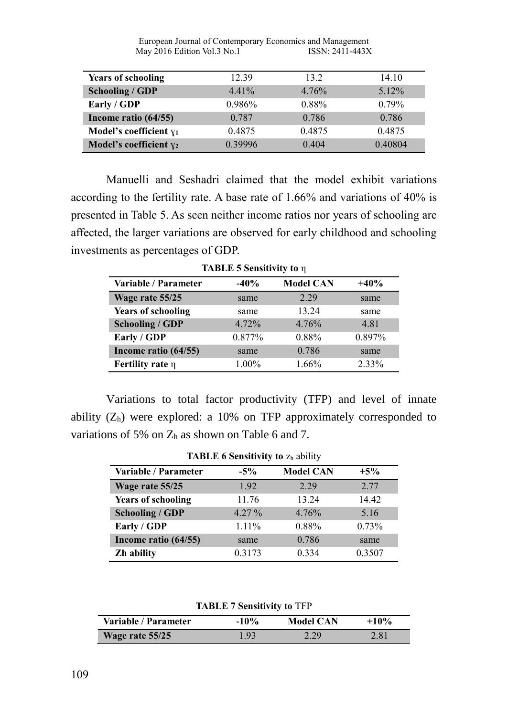| <b>Years of schooling</b> | 12.39    | 13.2   | 14.10    |
|---------------------------|----------|--------|----------|
| <b>Schooling / GDP</b>    | $4.41\%$ | 4.76%  | $5.12\%$ |
| Early / GDP               | 0.986%   | 0.88%  | $0.79\%$ |
| Income ratio (64/55)      | 0.787    | 0.786  | 0.786    |
| Model's coefficient $y_1$ | 0.4875   | 0.4875 | 0.4875   |
| Model's coefficient $y_2$ | 0.39996  | 0.404  | 0.40804  |

Manuelli and Seshadri claimed that the model exhibit variations according to the fertility rate. A base rate of 1.66% and variations of 40% is presented in Table 5. As seen neither income ratios nor years of schooling are affected, the larger variations are observed for early childhood and schooling investments as percentages of GDP.

| Variable / Parameter      | $-40%$ | <b>Model CAN</b> | $+40%$ |
|---------------------------|--------|------------------|--------|
| Wage rate 55/25           | same   | 2.29             | same   |
| <b>Years of schooling</b> | same   | 13.24            | same   |
| <b>Schooling / GDP</b>    | 4.72%  | 4.76%            | 4.81   |
| Early / GDP               | 0.877% | 0.88%            | 0.897% |
| Income ratio (64/55)      | same   | 0.786            | same   |
| Fertility rate $\eta$     | 1.00%  | 1.66%            | 2.33%  |

**TABLE 5 Sensitivity to** η

Variations to total factor productivity (TFP) and level of innate ability  $(Z_h)$  were explored: a 10% on TFP approximately corresponded to variations of 5% on  $Z_h$  as shown on Table 6 and 7.

| <b>TABLE 6 Sensitivity to Zh ability</b> |          |                  |        |  |  |
|------------------------------------------|----------|------------------|--------|--|--|
| Variable / Parameter                     | $-5%$    | <b>Model CAN</b> | $+5%$  |  |  |
| Wage rate 55/25                          | 1.92     | 2.29             | 2.77   |  |  |
| <b>Years of schooling</b>                | 11.76    | 13.24            | 14.42  |  |  |
| <b>Schooling / GDP</b>                   | $4.27\%$ | 4.76%            | 5.16   |  |  |
| Early / GDP                              | $1.11\%$ | 0.88%            | 0.73%  |  |  |
| Income ratio (64/55)                     | same     | 0.786            | same   |  |  |
| Zh ability                               | 0.3173   | 0.334            | 0.3507 |  |  |

**TABLE 7 Sensitivity to** TFP

| Variable / Parameter | $-10\%$           | <b>Model CAN</b> | $+10\%$ |
|----------------------|-------------------|------------------|---------|
| Wage rate 55/25      | 1.93 <sup>°</sup> | 2.29             | 2.81    |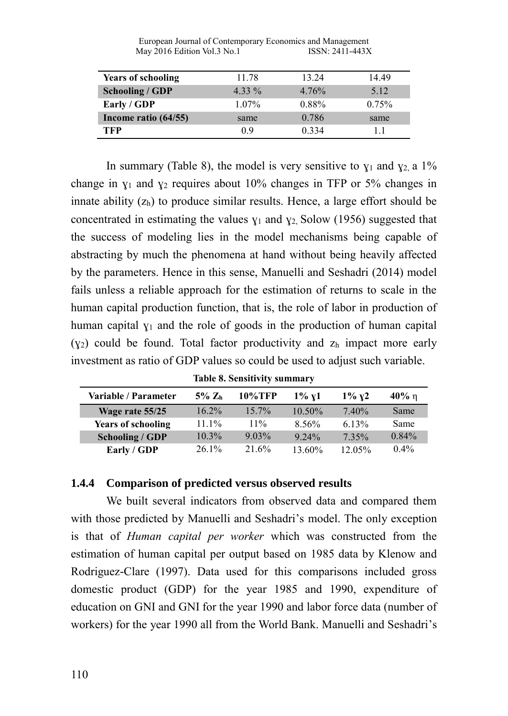| <b>Years of schooling</b> | 11.78    | 13.24    | 14.49 |
|---------------------------|----------|----------|-------|
| <b>Schooling / GDP</b>    | $4.33\%$ | 4.76%    | 5.12  |
| Early / GDP               | $1.07\%$ | $0.88\%$ | 0.75% |
| Income ratio (64/55)      | same     | 0.786    | same  |
| TFP                       | 0.9      | 0.334    | 11    |

In summary (Table 8), the model is very sensitive to  $y_1$  and  $y_2$ , a 1% change in  $y_1$  and  $y_2$  requires about 10% changes in TFP or 5% changes in innate ability  $(z_h)$  to produce similar results. Hence, a large effort should be concentrated in estimating the values  $y_1$  and  $y_2$ , Solow (1956) suggested that the success of modeling lies in the model mechanisms being capable of abstracting by much the phenomena at hand without being heavily affected by the parameters. Hence in this sense, Manuelli and Seshadri (2014) model fails unless a reliable approach for the estimation of returns to scale in the human capital production function, that is, the role of labor in production of human capital  $y_1$  and the role of goods in the production of human capital  $(y_2)$  could be found. Total factor productivity and  $z_h$  impact more early investment as ratio of GDP values so could be used to adjust such variable.

| <b>Variable / Parameter</b> | $5\%$ Zh | 10%TFP   | $1\%~{\rm v}1$ | $1\%~{\rm v}2$ | $40\%$ n |  |  |  |  |
|-----------------------------|----------|----------|----------------|----------------|----------|--|--|--|--|
| Wage rate 55/25             | $16.2\%$ | $15.7\%$ | $10.50\%$      | $7.40\%$       | Same     |  |  |  |  |
| <b>Years of schooling</b>   | $11.1\%$ | $11\%$   | 8.56%          | $6.13\%$       | Same     |  |  |  |  |

**Table 8. Sensitivity summary**

**Schooling / GDP** 10.3% 9.03% 9.24% 7.35% 0.84% **Early / GDP** 26.1% 21.6% 13.60% 12.05% 0.4%

#### **1.4.4 Comparison of predicted versus observed results**

We built several indicators from observed data and compared them with those predicted by Manuelli and Seshadri's model. The only exception is that of *Human capital per worker* which was constructed from the estimation of human capital per output based on 1985 data by Klenow and Rodriguez-Clare (1997). Data used for this comparisons included gross domestic product (GDP) for the year 1985 and 1990, expenditure of education on GNI and GNI for the year 1990 and labor force data (number of workers) for the year 1990 all from the World Bank. Manuelli and Seshadri's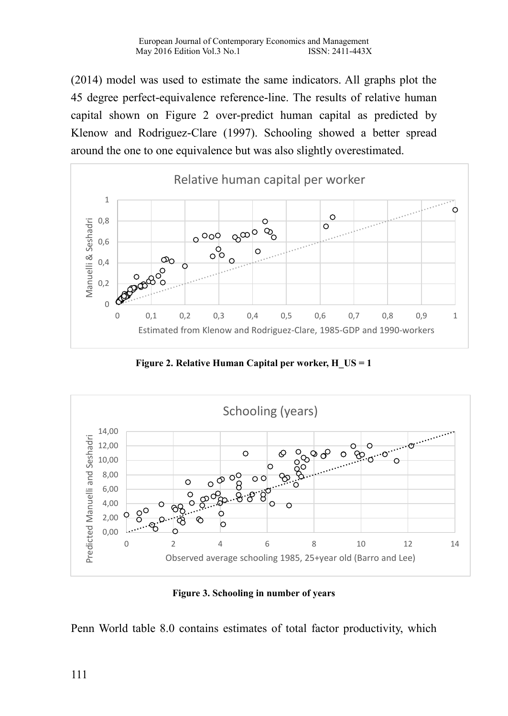(2014) model was used to estimate the same indicators. All graphs plot the 45 degree perfect-equivalence reference-line. The results of relative human capital shown on Figure 2 over-predict human capital as predicted by Klenow and Rodriguez-Clare (1997). Schooling showed a better spread around the one to one equivalence but was also slightly overestimated.



**Figure 2. Relative Human Capital per worker, H\_US = 1**



**Figure 3. Schooling in number of years**

Penn World table 8.0 contains estimates of total factor productivity, which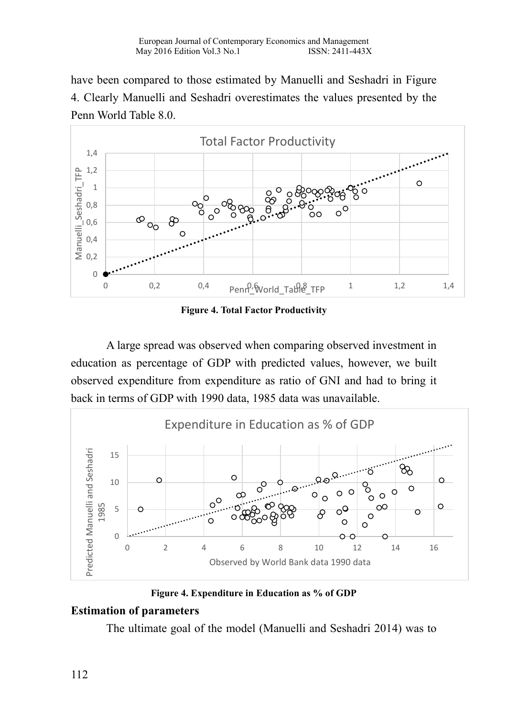have been compared to those estimated by Manuelli and Seshadri in Figure 4. Clearly Manuelli and Seshadri overestimates the values presented by the Penn World Table 8.0.



**Figure 4. Total Factor Productivity**

A large spread was observed when comparing observed investment in education as percentage of GDP with predicted values, however, we built observed expenditure from expenditure as ratio of GNI and had to bring it back in terms of GDP with 1990 data, 1985 data was unavailable.



**Figure 4. Expenditure in Education as % of GDP**

# **Estimation of parameters**

The ultimate goal of the model (Manuelli and Seshadri 2014) was to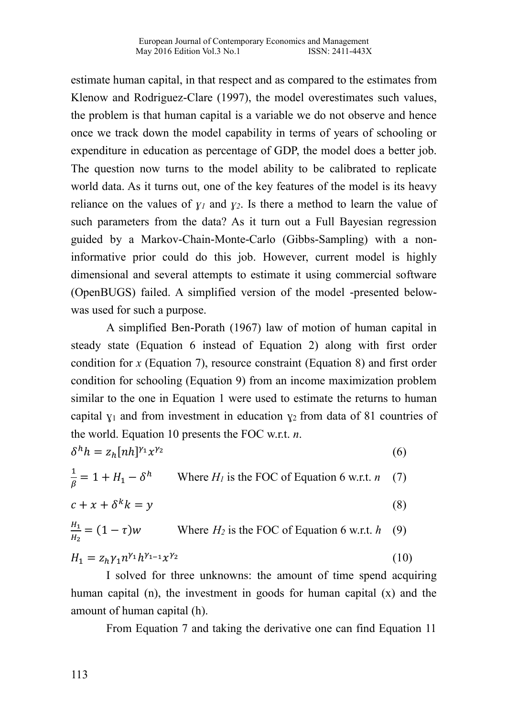estimate human capital, in that respect and as compared to the estimates from Klenow and Rodriguez-Clare (1997), the model overestimates such values, the problem is that human capital is a variable we do not observe and hence once we track down the model capability in terms of years of schooling or expenditure in education as percentage of GDP, the model does a better job. The question now turns to the model ability to be calibrated to replicate world data. As it turns out, one of the key features of the model is its heavy reliance on the values of  $\gamma_l$  and  $\gamma_2$ . Is there a method to learn the value of such parameters from the data? As it turn out a Full Bayesian regression guided by a Markov-Chain-Monte-Carlo (Gibbs-Sampling) with a noninformative prior could do this job. However, current model is highly dimensional and several attempts to estimate it using commercial software (OpenBUGS) failed. A simplified version of the model -presented belowwas used for such a purpose.

A simplified Ben-Porath (1967) law of motion of human capital in steady state (Equation 6 instead of Equation 2) along with first order condition for *x* (Equation 7), resource constraint (Equation 8) and first order condition for schooling (Equation 9) from an income maximization problem similar to the one in Equation 1 were used to estimate the returns to human capital  $y_1$  and from investment in education  $y_2$  from data of 81 countries of the world. Equation 10 presents the FOC w.r.t. *n*.

$$
\delta^h h = z_h [nh]^{y_1} x^{y_2} \tag{6}
$$

$$
\frac{1}{\beta} = 1 + H_1 - \delta^h
$$
 Where  $H_l$  is the FOC of Equation 6 w.r.t.  $n$  (7)

$$
c + x + \delta^k k = y \tag{8}
$$

$$
\frac{H_1}{H_2} = (1 - \tau)w
$$
 Where  $H_2$  is the FOC of Equation 6 w.r.t.  $h$  (9)

$$
H_1 = z_h \gamma_1 n^{\gamma_1} h^{\gamma_{1-1}} x^{\gamma_2} \tag{10}
$$

I solved for three unknowns: the amount of time spend acquiring human capital (n), the investment in goods for human capital (x) and the amount of human capital (h).

From Equation 7 and taking the derivative one can find Equation 11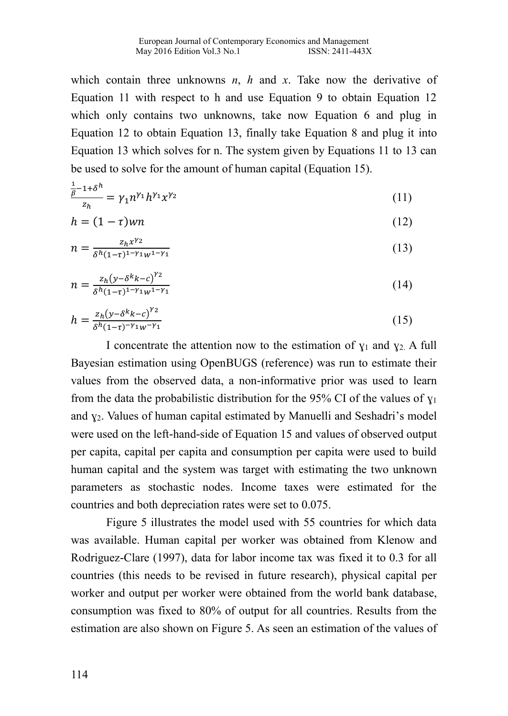which contain three unknowns *n*, *h* and *x*. Take now the derivative of Equation 11 with respect to h and use Equation 9 to obtain Equation 12 which only contains two unknowns, take now Equation 6 and plug in Equation 12 to obtain Equation 13, finally take Equation 8 and plug it into Equation 13 which solves for n. The system given by Equations 11 to 13 can be used to solve for the amount of human capital (Equation 15).

$$
\frac{\frac{1}{\beta}-1+\delta^h}{z_h} = \gamma_1 n^{\gamma_1} h^{\gamma_1} x^{\gamma_2} \tag{11}
$$

$$
h = (1 - \tau)wn \tag{12}
$$

$$
n = \frac{z_h x^{\gamma_2}}{\delta^h (1-\tau)^{1-\gamma_1} w^{1-\gamma_1}} \tag{13}
$$

$$
n = \frac{z_h (y - \delta^k k - c)^{\gamma_2}}{\delta^h (1 - \tau)^{1 - \gamma_1} w^{1 - \gamma_1}}\tag{14}
$$

$$
h = \frac{z_h (y - \delta^k k - c)^{\gamma_2}}{\delta^h (1 - \tau)^{-\gamma_1} w^{-\gamma_1}}
$$
(15)

I concentrate the attention now to the estimation of  $y_1$  and  $y_2$ . A full Bayesian estimation using OpenBUGS (reference) was run to estimate their values from the observed data, a non-informative prior was used to learn from the data the probabilistic distribution for the 95% CI of the values of  $y_1$ and  $y_2$ . Values of human capital estimated by Manuelli and Seshadri's model were used on the left-hand-side of Equation 15 and values of observed output per capita, capital per capita and consumption per capita were used to build human capital and the system was target with estimating the two unknown parameters as stochastic nodes. Income taxes were estimated for the countries and both depreciation rates were set to 0.075.

Figure 5 illustrates the model used with 55 countries for which data was available. Human capital per worker was obtained from Klenow and Rodriguez-Clare (1997), data for labor income tax was fixed it to 0.3 for all countries (this needs to be revised in future research), physical capital per worker and output per worker were obtained from the world bank database, consumption was fixed to 80% of output for all countries. Results from the estimation are also shown on Figure 5. As seen an estimation of the values of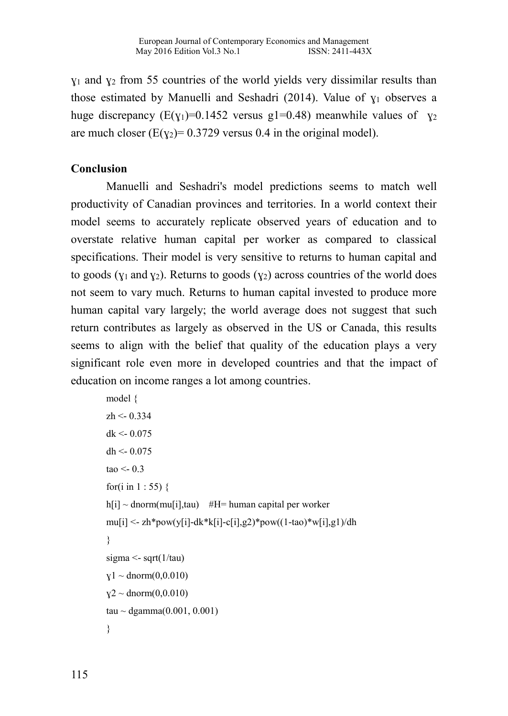$y_1$  and  $y_2$  from 55 countries of the world yields very dissimilar results than those estimated by Manuelli and Seshadri (2014). Value of  $y_1$  observes a huge discrepancy ( $E(y_1)=0.1452$  versus g1=0.48) meanwhile values of  $y_2$ are much closer ( $E(y_2) = 0.3729$  versus 0.4 in the original model).

#### **Conclusion**

Manuelli and Seshadri's model predictions seems to match well productivity of Canadian provinces and territories. In a world context their model seems to accurately replicate observed years of education and to overstate relative human capital per worker as compared to classical specifications. Their model is very sensitive to returns to human capital and to goods ( $y_1$  and  $y_2$ ). Returns to goods ( $y_2$ ) across countries of the world does not seem to vary much. Returns to human capital invested to produce more human capital vary largely; the world average does not suggest that such return contributes as largely as observed in the US or Canada, this results seems to align with the belief that quality of the education plays a very significant role even more in developed countries and that the impact of education on income ranges a lot among countries.

```
model {
zh <- 0.334
dk < 0.075dh <-0.075tao < 0.3for(i in 1:55) {
h[i] \sim dnorm(mu[i],tau) #H= human capital per worker
mu[i] <- zh*pow(y[i]-dk*k[i]-c[i],g2)*pow((1-tao)*w[i],g1)/dh
}
sigma \leq- sqrt(1/tau)y1 \sim \text{dnorm}(0,0.010)y2 \sim \text{dnorm}(0,0.010)tau ~ dgamma(0.001, 0.001)}
```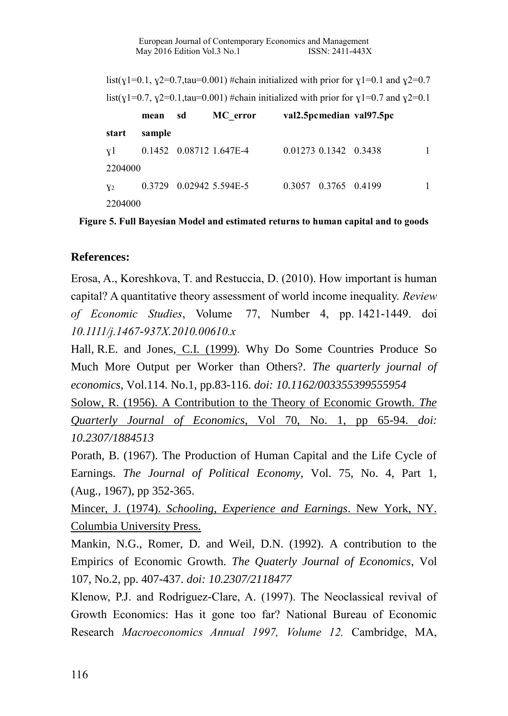list(y1=0.1, y2=0.7,tau=0.001) #chain initialized with prior for y1=0.1 and y2=0.7 list(y1=0.7, y2=0.1,tau=0.001) #chain initialized with prior for y1=0.7 and y2=0.1

|                | mean   | sd | MC error                    |                       | val2.5 pcmedian val97.5 pc |  |
|----------------|--------|----|-----------------------------|-----------------------|----------------------------|--|
| start          | sample |    |                             |                       |                            |  |
| v1             |        |    | $0.1452$ $0.08712$ 1.647E-4 | 0.01273 0.1342 0.3438 |                            |  |
| 2204000        |        |    |                             |                       |                            |  |
| Y <sub>2</sub> |        |    | 0.3729 0.02942 5.594E-5     | 0.3057 0.3765 0.4199  |                            |  |
| 2204000        |        |    |                             |                       |                            |  |

**Figure 5. Full Bayesian Model and estimated returns to human capital and to goods**

### **References:**

Erosa, A., Koreshkova, T. and Restuccia, D. (2010). How important is human capital? A quantitative theory assessment of world income inequality. *Review of Economic Studies*, Volume 77, Number 4, pp. 1421-1449. doi *10.1111/j.1467-937X.2010.00610.x*

Hall, R.E. and Jones, C.I. (1999). Why Do Some Countries Produce So Much More Output per Worker than Others?. *The quarterly journal of economics*, Vol.114. No.1, pp.83-116. *doi: 10.1162/003355399555954*

Solow, R. (1956). A Contribution to the Theory of Economic Growth. *The Quarterly Journal of Economics*, Vol 70, No. 1, pp 65-94. *doi: 10.2307/1884513*

Porath, B. (1967). The Production of Human Capital and the Life Cycle of Earnings. *The Journal of Political Economy*, Vol. 75, No. 4, Part 1, (Aug., 1967), pp 352-365.

Mincer, J. (1974). *Schooling, Experience and Earnings*. New York, NY. Columbia University Press.

Mankin, N.G., Romer, D. and Weil, D.N. (1992). A contribution to the Empirics of Economic Growth. *The Quaterly Journal of Economics*, Vol 107, No.2, pp. 407-437. *doi: 10.2307/2118477*

Klenow, P.J. and Rodriguez-Clare, A. (1997). The Neoclassical revival of Growth Economics: Has it gone too far? National Bureau of Economic Research *Macroeconomics Annual 1997, Volume 12.* Cambridge, MA,